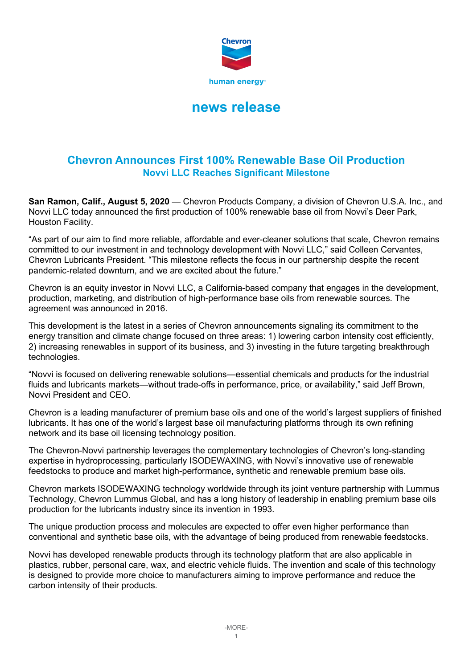

# **news release**

## **Chevron Announces First 100% Renewable Base Oil Production Novvi LLC Reaches Significant Milestone**

**San Ramon, Calif., August 5, 2020** — Chevron Products Company, a division of Chevron U.S.A. Inc., and Novvi LLC today announced the first production of 100% renewable base oil from Novvi's Deer Park, Houston Facility.

"As part of our aim to find more reliable, affordable and ever-cleaner solutions that scale, Chevron remains committed to our investment in and technology development with Novvi LLC," said Colleen Cervantes, Chevron Lubricants President. "This milestone reflects the focus in our partnership despite the recent pandemic-related downturn, and we are excited about the future."

Chevron is an equity investor in Novvi LLC, a California-based company that engages in the development, production, marketing, and distribution of high-performance base oils from renewable sources. The agreement was announced in 2016.

This development is the latest in a series of Chevron announcements signaling its commitment to the energy transition and climate change focused on three areas: 1) lowering carbon intensity cost efficiently, 2) increasing renewables in support of its business, and 3) investing in the future targeting breakthrough technologies.

"Novvi is focused on delivering renewable solutions—essential chemicals and products for the industrial fluids and lubricants markets—without trade-offs in performance, price, or availability," said Jeff Brown, Novvi President and CEO.

Chevron is a leading manufacturer of premium base oils and one of the world's largest suppliers of finished lubricants. It has one of the world's largest base oil manufacturing platforms through its own refining network and its base oil licensing technology position.

The Chevron-Novvi partnership leverages the complementary technologies of Chevron's long-standing expertise in hydroprocessing, particularly ISODEWAXING, with Novvi's innovative use of renewable feedstocks to produce and market high-performance, synthetic and renewable premium base oils.

Chevron markets ISODEWAXING technology worldwide through its joint venture partnership with Lummus Technology, Chevron Lummus Global, and has a long history of leadership in enabling premium base oils production for the lubricants industry since its invention in 1993.

The unique production process and molecules are expected to offer even higher performance than conventional and synthetic base oils, with the advantage of being produced from renewable feedstocks.

Novvi has developed renewable products through its technology platform that are also applicable in plastics, rubber, personal care, wax, and electric vehicle fluids. The invention and scale of this technology is designed to provide more choice to manufacturers aiming to improve performance and reduce the carbon intensity of their products.